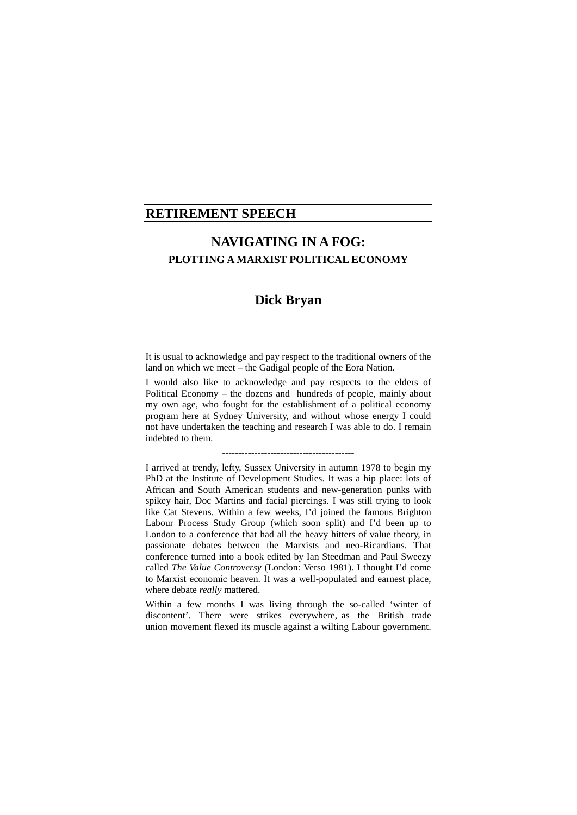## **RETIREMENT SPEECH**

# **NAVIGATING IN A FOG: PLOTTING A MARXIST POLITICAL ECONOMY**

## **Dick Bryan**

It is usual to acknowledge and pay respect to the traditional owners of the land on which we meet – the Gadigal people of the Eora Nation.

I would also like to acknowledge and pay respects to the elders of Political Economy – the dozens and hundreds of people, mainly about my own age, who fought for the establishment of a political economy program here at Sydney University, and without whose energy I could not have undertaken the teaching and research I was able to do. I remain indebted to them.

-----------------------------------------

I arrived at trendy, lefty, Sussex University in autumn 1978 to begin my PhD at the Institute of Development Studies. It was a hip place: lots of African and South American students and new-generation punks with spikey hair, Doc Martins and facial piercings. I was still trying to look like Cat Stevens. Within a few weeks, I'd joined the famous Brighton Labour Process Study Group (which soon split) and I'd been up to London to a conference that had all the heavy hitters of value theory, in passionate debates between the Marxists and neo-Ricardians. That conference turned into a book edited by Ian Steedman and Paul Sweezy called *The Value Controversy* (London: Verso 1981). I thought I'd come to Marxist economic heaven. It was a well-populated and earnest place, where debate *really* mattered.

Within a few months I was living through the so-called 'winter of discontent'. There were strikes everywhere, as the British trade union movement flexed its muscle against a wilting Labour government.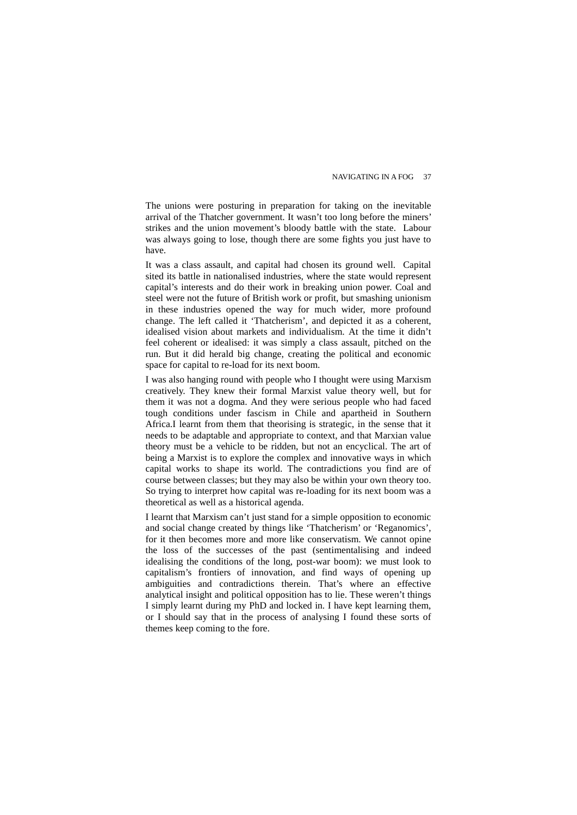The unions were posturing in preparation for taking on the inevitable arrival of the Thatcher government. It wasn't too long before the miners' strikes and the union movement's bloody battle with the state. Labour was always going to lose, though there are some fights you just have to have.

It was a class assault, and capital had chosen its ground well. Capital sited its battle in nationalised industries, where the state would represent capital's interests and do their work in breaking union power. Coal and steel were not the future of British work or profit, but smashing unionism in these industries opened the way for much wider, more profound change. The left called it 'Thatcherism', and depicted it as a coherent, idealised vision about markets and individualism. At the time it didn't feel coherent or idealised: it was simply a class assault, pitched on the run. But it did herald big change, creating the political and economic space for capital to re-load for its next boom.

I was also hanging round with people who I thought were using Marxism creatively. They knew their formal Marxist value theory well, but for them it was not a dogma. And they were serious people who had faced tough conditions under fascism in Chile and apartheid in Southern Africa.I learnt from them that theorising is strategic, in the sense that it needs to be adaptable and appropriate to context, and that Marxian value theory must be a vehicle to be ridden, but not an encyclical. The art of being a Marxist is to explore the complex and innovative ways in which capital works to shape its world. The contradictions you find are of course between classes; but they may also be within your own theory too. So trying to interpret how capital was re-loading for its next boom was a theoretical as well as a historical agenda.

I learnt that Marxism can't just stand for a simple opposition to economic and social change created by things like 'Thatcherism' or 'Reganomics', for it then becomes more and more like conservatism. We cannot opine the loss of the successes of the past (sentimentalising and indeed idealising the conditions of the long, post-war boom): we must look to capitalism's frontiers of innovation, and find ways of opening up ambiguities and contradictions therein. That's where an effective analytical insight and political opposition has to lie. These weren't things I simply learnt during my PhD and locked in. I have kept learning them, or I should say that in the process of analysing I found these sorts of themes keep coming to the fore.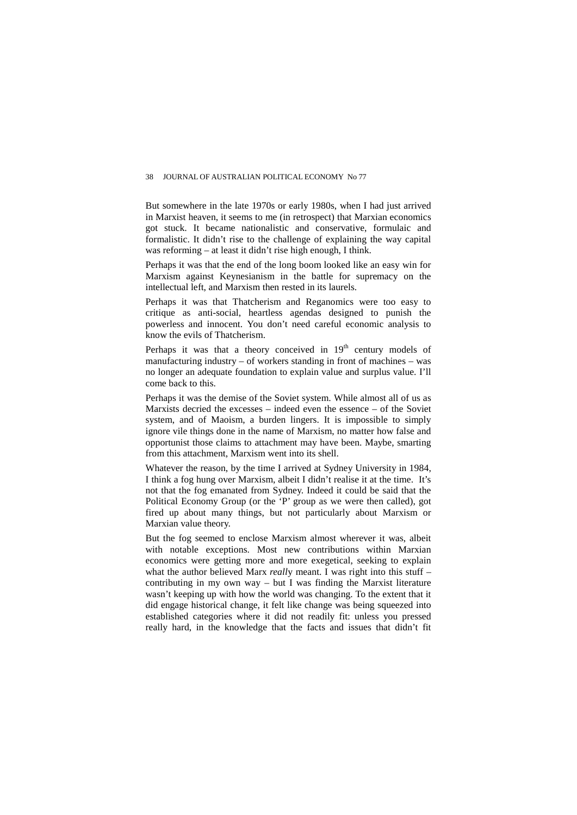But somewhere in the late 1970s or early 1980s, when I had just arrived in Marxist heaven, it seems to me (in retrospect) that Marxian economics got stuck. It became nationalistic and conservative, formulaic and formalistic. It didn't rise to the challenge of explaining the way capital was reforming – at least it didn't rise high enough, I think.

Perhaps it was that the end of the long boom looked like an easy win for Marxism against Keynesianism in the battle for supremacy on the intellectual left, and Marxism then rested in its laurels.

Perhaps it was that Thatcherism and Reganomics were too easy to critique as anti-social, heartless agendas designed to punish the powerless and innocent. You don't need careful economic analysis to know the evils of Thatcherism.

Perhaps it was that a theory conceived in  $19<sup>th</sup>$  century models of manufacturing industry – of workers standing in front of machines – was no longer an adequate foundation to explain value and surplus value. I'll come back to this.

Perhaps it was the demise of the Soviet system. While almost all of us as Marxists decried the excesses – indeed even the essence – of the Soviet system, and of Maoism, a burden lingers. It is impossible to simply ignore vile things done in the name of Marxism, no matter how false and opportunist those claims to attachment may have been. Maybe, smarting from this attachment, Marxism went into its shell.

Whatever the reason, by the time I arrived at Sydney University in 1984, I think a fog hung over Marxism, albeit I didn't realise it at the time. It's not that the fog emanated from Sydney. Indeed it could be said that the Political Economy Group (or the 'P' group as we were then called), got fired up about many things, but not particularly about Marxism or Marxian value theory.

But the fog seemed to enclose Marxism almost wherever it was, albeit with notable exceptions. Most new contributions within Marxian economics were getting more and more exegetical, seeking to explain what the author believed Marx *really* meant. I was right into this stuff – contributing in my own way – but I was finding the Marxist literature wasn't keeping up with how the world was changing. To the extent that it did engage historical change, it felt like change was being squeezed into established categories where it did not readily fit: unless you pressed really hard, in the knowledge that the facts and issues that didn't fit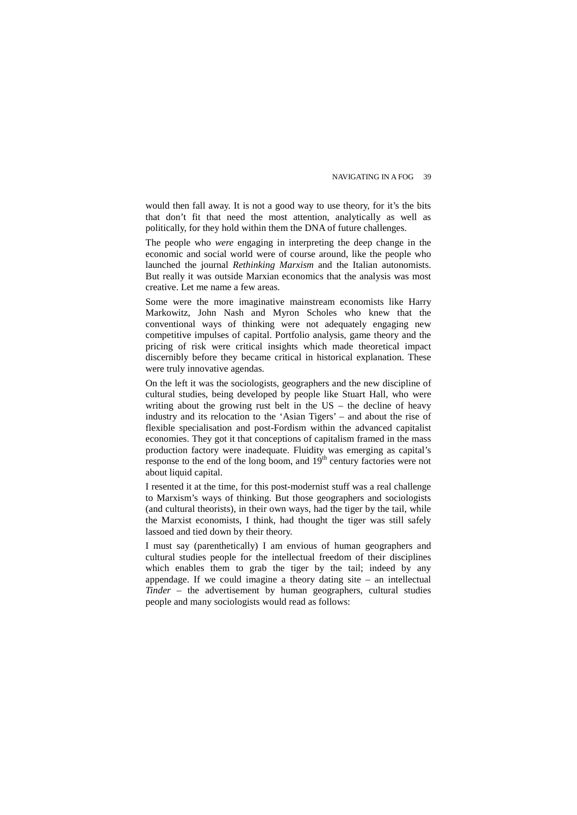would then fall away. It is not a good way to use theory, for it's the bits that don't fit that need the most attention, analytically as well as politically, for they hold within them the DNA of future challenges.

The people who *were* engaging in interpreting the deep change in the economic and social world were of course around, like the people who launched the journal *Rethinking Marxism* and the Italian autonomists. But really it was outside Marxian economics that the analysis was most creative. Let me name a few areas.

Some were the more imaginative mainstream economists like Harry Markowitz, John Nash and Myron Scholes who knew that the conventional ways of thinking were not adequately engaging new competitive impulses of capital. Portfolio analysis, game theory and the pricing of risk were critical insights which made theoretical impact discernibly before they became critical in historical explanation. These were truly innovative agendas.

On the left it was the sociologists, geographers and the new discipline of cultural studies, being developed by people like Stuart Hall, who were writing about the growing rust belt in the US – the decline of heavy industry and its relocation to the 'Asian Tigers' – and about the rise of flexible specialisation and post-Fordism within the advanced capitalist economies. They got it that conceptions of capitalism framed in the mass production factory were inadequate. Fluidity was emerging as capital's response to the end of the long boom, and  $19<sup>th</sup>$  century factories were not about liquid capital.

I resented it at the time, for this post-modernist stuff was a real challenge to Marxism's ways of thinking. But those geographers and sociologists (and cultural theorists), in their own ways, had the tiger by the tail, while the Marxist economists, I think, had thought the tiger was still safely lassoed and tied down by their theory.

I must say (parenthetically) I am envious of human geographers and cultural studies people for the intellectual freedom of their disciplines which enables them to grab the tiger by the tail; indeed by any appendage. If we could imagine a theory dating site – an intellectual *Tinder* – the advertisement by human geographers, cultural studies people and many sociologists would read as follows: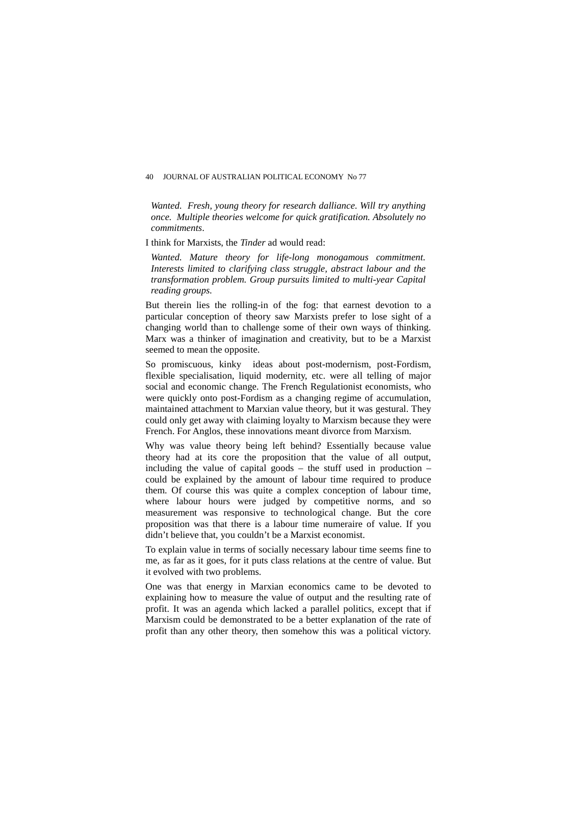*Wanted. Fresh, young theory for research dalliance. Will try anything once. Multiple theories welcome for quick gratification. Absolutely no commitments*.

I think for Marxists, the *Tinder* ad would read:

*Wanted. Mature theory for life-long monogamous commitment. Interests limited to clarifying class struggle, abstract labour and the transformation problem. Group pursuits limited to multi-year Capital reading groups.* 

But therein lies the rolling-in of the fog: that earnest devotion to a particular conception of theory saw Marxists prefer to lose sight of a changing world than to challenge some of their own ways of thinking. Marx was a thinker of imagination and creativity, but to be a Marxist seemed to mean the opposite.

So promiscuous, kinky ideas about post-modernism, post-Fordism, flexible specialisation, liquid modernity, etc. were all telling of major social and economic change. The French Regulationist economists, who were quickly onto post-Fordism as a changing regime of accumulation, maintained attachment to Marxian value theory, but it was gestural. They could only get away with claiming loyalty to Marxism because they were French. For Anglos, these innovations meant divorce from Marxism.

Why was value theory being left behind? Essentially because value theory had at its core the proposition that the value of all output, including the value of capital goods – the stuff used in production – could be explained by the amount of labour time required to produce them. Of course this was quite a complex conception of labour time, where labour hours were judged by competitive norms, and so measurement was responsive to technological change. But the core proposition was that there is a labour time numeraire of value. If you didn't believe that, you couldn't be a Marxist economist.

To explain value in terms of socially necessary labour time seems fine to me, as far as it goes, for it puts class relations at the centre of value. But it evolved with two problems.

One was that energy in Marxian economics came to be devoted to explaining how to measure the value of output and the resulting rate of profit. It was an agenda which lacked a parallel politics, except that if Marxism could be demonstrated to be a better explanation of the rate of profit than any other theory, then somehow this was a political victory.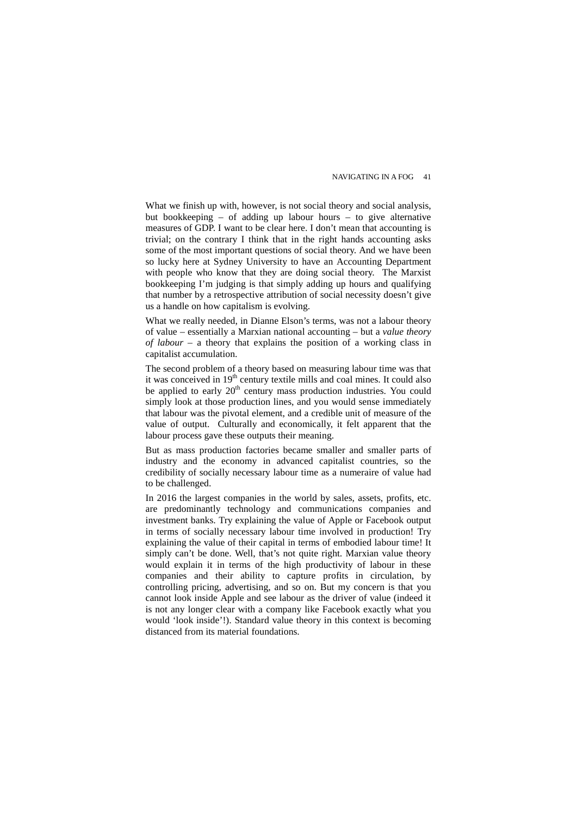What we finish up with, however, is not social theory and social analysis, but bookkeeping – of adding up labour hours – to give alternative measures of GDP. I want to be clear here. I don't mean that accounting is trivial; on the contrary I think that in the right hands accounting asks some of the most important questions of social theory. And we have been so lucky here at Sydney University to have an Accounting Department with people who know that they are doing social theory. The Marxist bookkeeping I'm judging is that simply adding up hours and qualifying that number by a retrospective attribution of social necessity doesn't give us a handle on how capitalism is evolving.

What we really needed, in Dianne Elson's terms, was not a labour theory of value – essentially a Marxian national accounting – but a *value theory of labour* – a theory that explains the position of a working class in capitalist accumulation.

The second problem of a theory based on measuring labour time was that it was conceived in 19<sup>th</sup> century textile mills and coal mines. It could also be applied to early 20<sup>th</sup> century mass production industries. You could simply look at those production lines, and you would sense immediately that labour was the pivotal element, and a credible unit of measure of the value of output. Culturally and economically, it felt apparent that the labour process gave these outputs their meaning.

But as mass production factories became smaller and smaller parts of industry and the economy in advanced capitalist countries, so the credibility of socially necessary labour time as a numeraire of value had to be challenged.

In 2016 the largest companies in the world by sales, assets, profits, etc. are predominantly technology and communications companies and investment banks. Try explaining the value of Apple or Facebook output in terms of socially necessary labour time involved in production! Try explaining the value of their capital in terms of embodied labour time! It simply can't be done. Well, that's not quite right. Marxian value theory would explain it in terms of the high productivity of labour in these companies and their ability to capture profits in circulation, by controlling pricing, advertising, and so on. But my concern is that you cannot look inside Apple and see labour as the driver of value (indeed it is not any longer clear with a company like Facebook exactly what you would 'look inside'!). Standard value theory in this context is becoming distanced from its material foundations.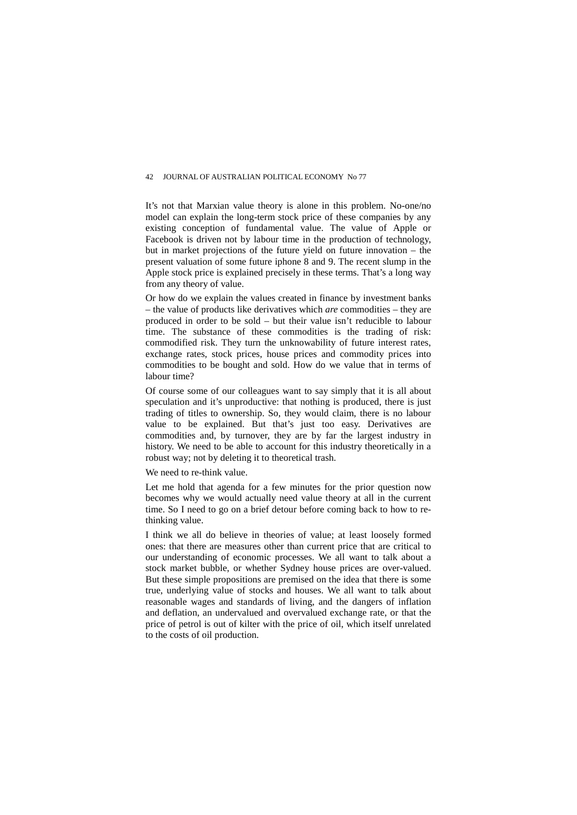It's not that Marxian value theory is alone in this problem. No-one/no model can explain the long-term stock price of these companies by any existing conception of fundamental value. The value of Apple or Facebook is driven not by labour time in the production of technology, but in market projections of the future yield on future innovation – the present valuation of some future iphone 8 and 9. The recent slump in the Apple stock price is explained precisely in these terms. That's a long way from any theory of value.

Or how do we explain the values created in finance by investment banks – the value of products like derivatives which *are* commodities – they are produced in order to be sold – but their value isn't reducible to labour time. The substance of these commodities is the trading of risk: commodified risk. They turn the unknowability of future interest rates, exchange rates, stock prices, house prices and commodity prices into commodities to be bought and sold. How do we value that in terms of labour time?

Of course some of our colleagues want to say simply that it is all about speculation and it's unproductive: that nothing is produced, there is just trading of titles to ownership. So, they would claim, there is no labour value to be explained. But that's just too easy. Derivatives are commodities and, by turnover, they are by far the largest industry in history. We need to be able to account for this industry theoretically in a robust way; not by deleting it to theoretical trash.

We need to re-think value.

Let me hold that agenda for a few minutes for the prior question now becomes why we would actually need value theory at all in the current time. So I need to go on a brief detour before coming back to how to rethinking value.

I think we all do believe in theories of value; at least loosely formed ones: that there are measures other than current price that are critical to our understanding of economic processes. We all want to talk about a stock market bubble, or whether Sydney house prices are over-valued. But these simple propositions are premised on the idea that there is some true, underlying value of stocks and houses. We all want to talk about reasonable wages and standards of living, and the dangers of inflation and deflation, an undervalued and overvalued exchange rate, or that the price of petrol is out of kilter with the price of oil, which itself unrelated to the costs of oil production.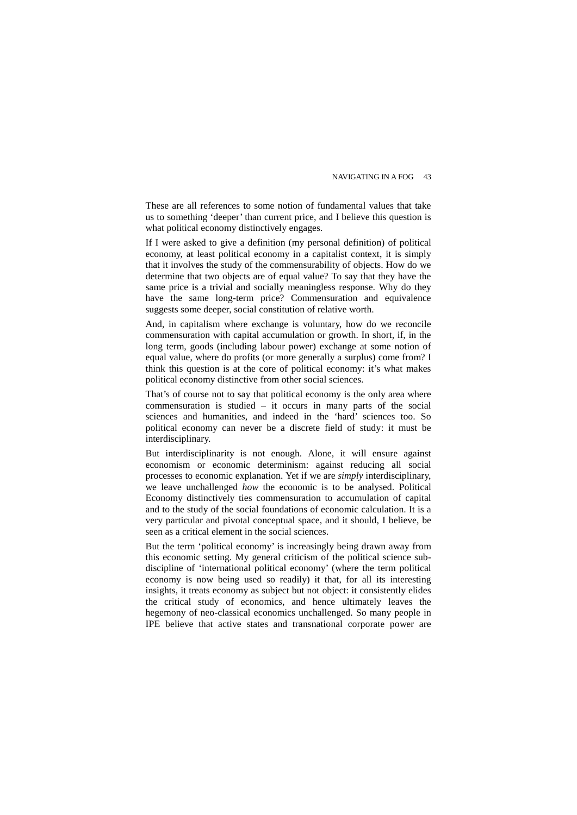These are all references to some notion of fundamental values that take us to something 'deeper' than current price, and I believe this question is what political economy distinctively engages.

If I were asked to give a definition (my personal definition) of political economy, at least political economy in a capitalist context, it is simply that it involves the study of the commensurability of objects. How do we determine that two objects are of equal value? To say that they have the same price is a trivial and socially meaningless response. Why do they have the same long-term price? Commensuration and equivalence suggests some deeper, social constitution of relative worth.

And, in capitalism where exchange is voluntary, how do we reconcile commensuration with capital accumulation or growth. In short, if, in the long term, goods (including labour power) exchange at some notion of equal value, where do profits (or more generally a surplus) come from? I think this question is at the core of political economy: it's what makes political economy distinctive from other social sciences.

That's of course not to say that political economy is the only area where commensuration is studied – it occurs in many parts of the social sciences and humanities, and indeed in the 'hard' sciences too. So political economy can never be a discrete field of study: it must be interdisciplinary.

But interdisciplinarity is not enough. Alone, it will ensure against economism or economic determinism: against reducing all social processes to economic explanation. Yet if we are *simply* interdisciplinary, we leave unchallenged *how* the economic is to be analysed. Political Economy distinctively ties commensuration to accumulation of capital and to the study of the social foundations of economic calculation. It is a very particular and pivotal conceptual space, and it should, I believe, be seen as a critical element in the social sciences.

But the term 'political economy' is increasingly being drawn away from this economic setting. My general criticism of the political science subdiscipline of 'international political economy' (where the term political economy is now being used so readily) it that, for all its interesting insights, it treats economy as subject but not object: it consistently elides the critical study of economics, and hence ultimately leaves the hegemony of neo-classical economics unchallenged. So many people in IPE believe that active states and transnational corporate power are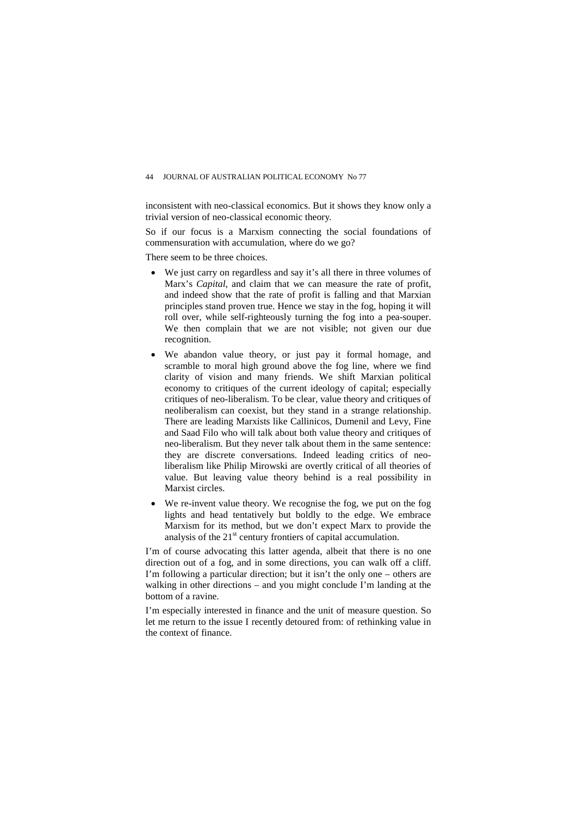inconsistent with neo-classical economics. But it shows they know only a trivial version of neo-classical economic theory.

So if our focus is a Marxism connecting the social foundations of commensuration with accumulation, where do we go?

There seem to be three choices.

- We just carry on regardless and say it's all there in three volumes of Marx's *Capital*, and claim that we can measure the rate of profit, and indeed show that the rate of profit is falling and that Marxian principles stand proven true. Hence we stay in the fog, hoping it will roll over, while self-righteously turning the fog into a pea-souper. We then complain that we are not visible; not given our due recognition.
- We abandon value theory, or just pay it formal homage, and scramble to moral high ground above the fog line, where we find clarity of vision and many friends. We shift Marxian political economy to critiques of the current ideology of capital; especially critiques of neo-liberalism. To be clear, value theory and critiques of neoliberalism can coexist, but they stand in a strange relationship. There are leading Marxists like Callinicos, Dumenil and Levy, Fine and Saad Filo who will talk about both value theory and critiques of neo-liberalism. But they never talk about them in the same sentence: they are discrete conversations. Indeed leading critics of neoliberalism like Philip Mirowski are overtly critical of all theories of value. But leaving value theory behind is a real possibility in Marxist circles.
- We re-invent value theory. We recognise the fog, we put on the fog lights and head tentatively but boldly to the edge. We embrace Marxism for its method, but we don't expect Marx to provide the analysis of the  $21<sup>st</sup>$  century frontiers of capital accumulation.

I'm of course advocating this latter agenda, albeit that there is no one direction out of a fog, and in some directions, you can walk off a cliff. I'm following a particular direction; but it isn't the only one – others are walking in other directions – and you might conclude I'm landing at the bottom of a ravine.

I'm especially interested in finance and the unit of measure question. So let me return to the issue I recently detoured from: of rethinking value in the context of finance.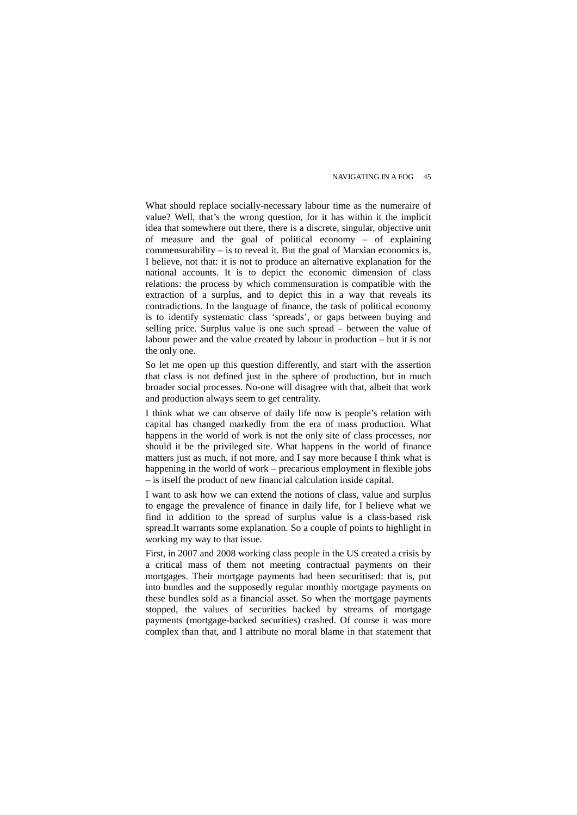What should replace socially-necessary labour time as the numeraire of value? Well, that's the wrong question, for it has within it the implicit idea that somewhere out there, there is a discrete, singular, objective unit of measure and the goal of political economy – of explaining commensurability – is to reveal it. But the goal of Marxian economics is, I believe, not that: it is not to produce an alternative explanation for the national accounts. It is to depict the economic dimension of class relations: the process by which commensuration is compatible with the extraction of a surplus, and to depict this in a way that reveals its contradictions. In the language of finance, the task of political economy is to identify systematic class 'spreads', or gaps between buying and selling price. Surplus value is one such spread – between the value of labour power and the value created by labour in production – but it is not the only one.

So let me open up this question differently, and start with the assertion that class is not defined just in the sphere of production, but in much broader social processes. No-one will disagree with that, albeit that work and production always seem to get centrality.

I think what we can observe of daily life now is people's relation with capital has changed markedly from the era of mass production. What happens in the world of work is not the only site of class processes, nor should it be the privileged site. What happens in the world of finance matters just as much, if not more, and I say more because I think what is happening in the world of work – precarious employment in flexible jobs – is itself the product of new financial calculation inside capital.

I want to ask how we can extend the notions of class, value and surplus to engage the prevalence of finance in daily life, for I believe what we find in addition to the spread of surplus value is a class-based risk spread.It warrants some explanation. So a couple of points to highlight in working my way to that issue.

First, in 2007 and 2008 working class people in the US created a crisis by a critical mass of them not meeting contractual payments on their mortgages. Their mortgage payments had been securitised: that is, put into bundles and the supposedly regular monthly mortgage payments on these bundles sold as a financial asset. So when the mortgage payments stopped, the values of securities backed by streams of mortgage payments (mortgage-backed securities) crashed. Of course it was more complex than that, and I attribute no moral blame in that statement that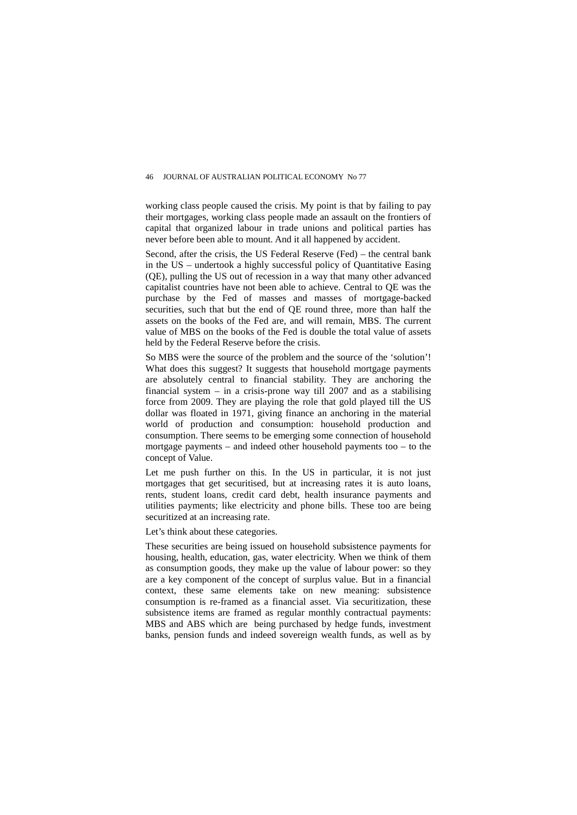working class people caused the crisis. My point is that by failing to pay their mortgages, working class people made an assault on the frontiers of capital that organized labour in trade unions and political parties has never before been able to mount. And it all happened by accident.

Second, after the crisis, the US Federal Reserve (Fed) – the central bank in the US – undertook a highly successful policy of Quantitative Easing (QE), pulling the US out of recession in a way that many other advanced capitalist countries have not been able to achieve. Central to QE was the purchase by the Fed of masses and masses of mortgage-backed securities, such that but the end of QE round three, more than half the assets on the books of the Fed are, and will remain, MBS. The current value of MBS on the books of the Fed is double the total value of assets held by the Federal Reserve before the crisis.

So MBS were the source of the problem and the source of the 'solution'! What does this suggest? It suggests that household mortgage payments are absolutely central to financial stability. They are anchoring the financial system – in a crisis-prone way till  $2007$  and as a stabilising force from 2009. They are playing the role that gold played till the US dollar was floated in 1971, giving finance an anchoring in the material world of production and consumption: household production and consumption. There seems to be emerging some connection of household mortgage payments – and indeed other household payments too – to the concept of Value.

Let me push further on this. In the US in particular, it is not just mortgages that get securitised, but at increasing rates it is auto loans, rents, student loans, credit card debt, health insurance payments and utilities payments; like electricity and phone bills. These too are being securitized at an increasing rate.

Let's think about these categories.

These securities are being issued on household subsistence payments for housing, health, education, gas, water electricity. When we think of them as consumption goods, they make up the value of labour power: so they are a key component of the concept of surplus value. But in a financial context, these same elements take on new meaning: subsistence consumption is re-framed as a financial asset. Via securitization, these subsistence items are framed as regular monthly contractual payments: MBS and ABS which are being purchased by hedge funds, investment banks, pension funds and indeed sovereign wealth funds, as well as by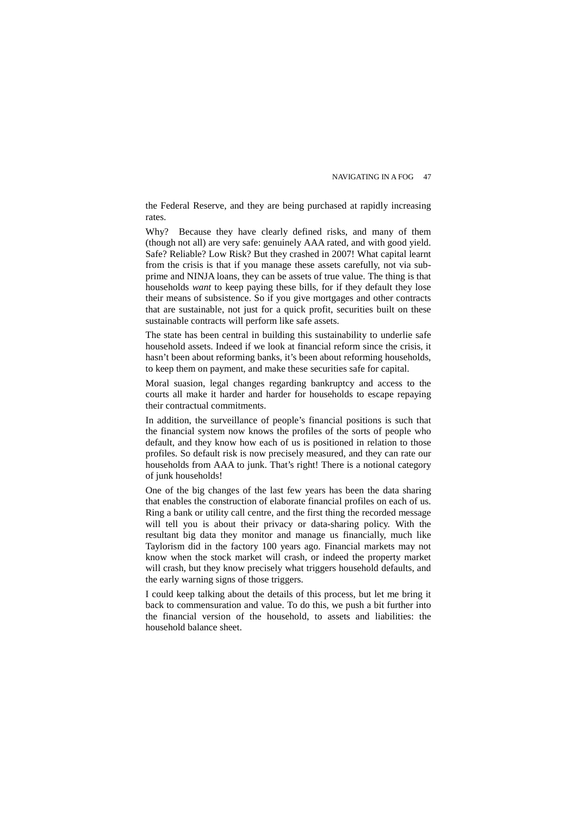the Federal Reserve, and they are being purchased at rapidly increasing rates.

Why? Because they have clearly defined risks, and many of them (though not all) are very safe: genuinely AAA rated, and with good yield. Safe? Reliable? Low Risk? But they crashed in 2007! What capital learnt from the crisis is that if you manage these assets carefully, not via subprime and NINJA loans, they can be assets of true value. The thing is that households *want* to keep paying these bills, for if they default they lose their means of subsistence. So if you give mortgages and other contracts that are sustainable, not just for a quick profit, securities built on these sustainable contracts will perform like safe assets.

The state has been central in building this sustainability to underlie safe household assets. Indeed if we look at financial reform since the crisis, it hasn't been about reforming banks, it's been about reforming households, to keep them on payment, and make these securities safe for capital.

Moral suasion, legal changes regarding bankruptcy and access to the courts all make it harder and harder for households to escape repaying their contractual commitments.

In addition, the surveillance of people's financial positions is such that the financial system now knows the profiles of the sorts of people who default, and they know how each of us is positioned in relation to those profiles. So default risk is now precisely measured, and they can rate our households from AAA to junk. That's right! There is a notional category of junk households!

One of the big changes of the last few years has been the data sharing that enables the construction of elaborate financial profiles on each of us. Ring a bank or utility call centre, and the first thing the recorded message will tell you is about their privacy or data-sharing policy. With the resultant big data they monitor and manage us financially, much like Taylorism did in the factory 100 years ago. Financial markets may not know when the stock market will crash, or indeed the property market will crash, but they know precisely what triggers household defaults, and the early warning signs of those triggers.

I could keep talking about the details of this process, but let me bring it back to commensuration and value. To do this, we push a bit further into the financial version of the household, to assets and liabilities: the household balance sheet.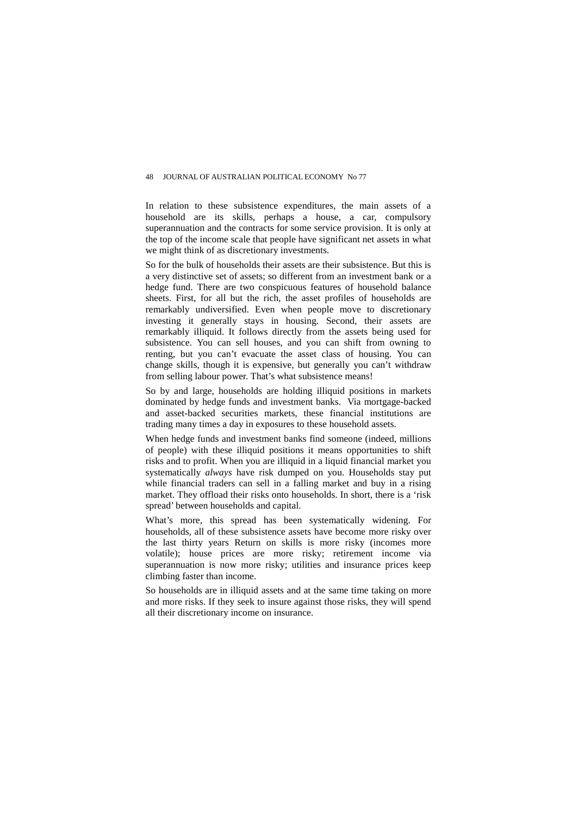In relation to these subsistence expenditures, the main assets of a household are its skills, perhaps a house, a car, compulsory superannuation and the contracts for some service provision. It is only at the top of the income scale that people have significant net assets in what we might think of as discretionary investments.

So for the bulk of households their assets are their subsistence. But this is a very distinctive set of assets; so different from an investment bank or a hedge fund. There are two conspicuous features of household balance sheets. First, for all but the rich, the asset profiles of households are remarkably undiversified. Even when people move to discretionary investing it generally stays in housing. Second, their assets are remarkably illiquid. It follows directly from the assets being used for subsistence. You can sell houses, and you can shift from owning to renting, but you can't evacuate the asset class of housing. You can change skills, though it is expensive, but generally you can't withdraw from selling labour power. That's what subsistence means!

So by and large, households are holding illiquid positions in markets dominated by hedge funds and investment banks. Via mortgage-backed and asset-backed securities markets, these financial institutions are trading many times a day in exposures to these household assets.

When hedge funds and investment banks find someone (indeed, millions of people) with these illiquid positions it means opportunities to shift risks and to profit. When you are illiquid in a liquid financial market you systematically *always* have risk dumped on you. Households stay put while financial traders can sell in a falling market and buy in a rising market. They offload their risks onto households. In short, there is a 'risk spread' between households and capital.

What's more, this spread has been systematically widening. For households, all of these subsistence assets have become more risky over the last thirty years Return on skills is more risky (incomes more volatile); house prices are more risky; retirement income via superannuation is now more risky; utilities and insurance prices keep climbing faster than income.

So households are in illiquid assets and at the same time taking on more and more risks. If they seek to insure against those risks, they will spend all their discretionary income on insurance.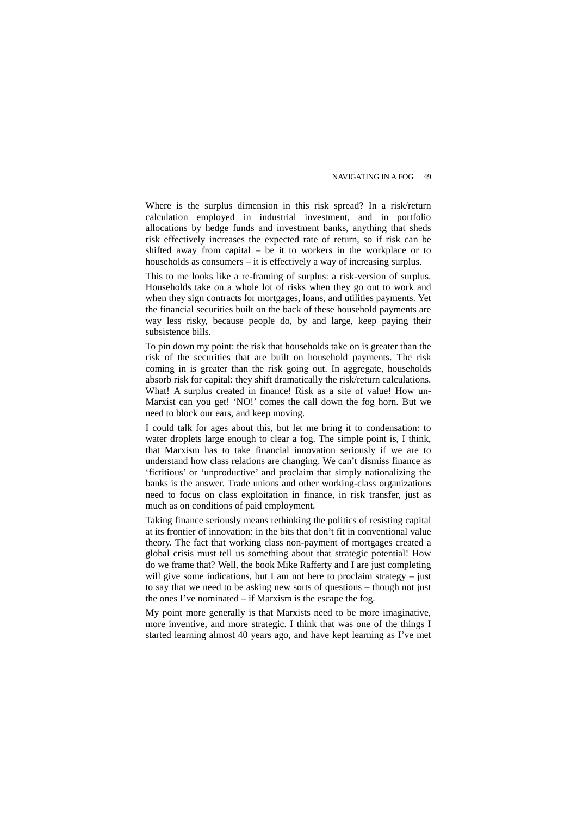Where is the surplus dimension in this risk spread? In a risk/return calculation employed in industrial investment, and in portfolio allocations by hedge funds and investment banks, anything that sheds risk effectively increases the expected rate of return, so if risk can be shifted away from capital – be it to workers in the workplace or to households as consumers – it is effectively a way of increasing surplus.

This to me looks like a re-framing of surplus: a risk-version of surplus. Households take on a whole lot of risks when they go out to work and when they sign contracts for mortgages, loans, and utilities payments. Yet the financial securities built on the back of these household payments are way less risky, because people do, by and large, keep paying their subsistence bills.

To pin down my point: the risk that households take on is greater than the risk of the securities that are built on household payments. The risk coming in is greater than the risk going out. In aggregate, households absorb risk for capital: they shift dramatically the risk/return calculations. What! A surplus created in finance! Risk as a site of value! How un-Marxist can you get! 'NO!' comes the call down the fog horn. But we need to block our ears, and keep moving.

I could talk for ages about this, but let me bring it to condensation: to water droplets large enough to clear a fog. The simple point is, I think, that Marxism has to take financial innovation seriously if we are to understand how class relations are changing. We can't dismiss finance as 'fictitious' or 'unproductive' and proclaim that simply nationalizing the banks is the answer. Trade unions and other working-class organizations need to focus on class exploitation in finance, in risk transfer, just as much as on conditions of paid employment.

Taking finance seriously means rethinking the politics of resisting capital at its frontier of innovation: in the bits that don't fit in conventional value theory. The fact that working class non-payment of mortgages created a global crisis must tell us something about that strategic potential! How do we frame that? Well, the book Mike Rafferty and I are just completing will give some indications, but I am not here to proclaim strategy – just to say that we need to be asking new sorts of questions – though not just the ones I've nominated – if Marxism is the escape the fog.

My point more generally is that Marxists need to be more imaginative, more inventive, and more strategic. I think that was one of the things I started learning almost 40 years ago, and have kept learning as I've met